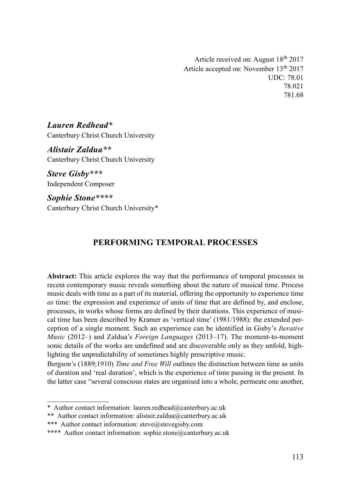Article received on: August  $18<sup>th</sup> 2017$ Article accepted on: November 13th 2017 UDC: 78.01 78.021 781.68

Lauren Redhead\* Canterbury Christ Church University

Alistair Zaldua\*\* Canterbury Christ Church University

Steve Gisby\*\*\* Independent Composer

Sophie Stone\*\*\*\* Canterbury Christ Church University\*

# PERFORMING TEMPORAL PROCESSES

Abstract: This article explores the way that the performance of temporal processes in recent contemporary music reveals something about the nature of musical time. Process music deals with time as a part of its material, offering the opportunity to experience time as time: the expression and experience of units of time that are defined by, and enclose, processes, in works whose forms are defined by their durations. This experience of musical time has been described by Kramer as 'vertical time' (1981/1988): the extended perception of a single moment. Such an experience can be identified in Gisby's Iterative Music (2012–) and Zaldua's Foreign Languages (2013–17). The moment-to-moment sonic details of the works are undefined and are discoverable only as they unfold, highlighting the unpredictability of sometimes highly prescriptive music.

Bergson's (1889;1910) Time and Free Will outlines the distinction between time as units of duration and 'real duration', which is the experience of time passing in the present. In the latter case "several conscious states are organised into a whole, permeate one another,

<sup>\*</sup> Author contact information: lauren.redhead@canterbury.ac.uk

<sup>\*\*</sup> Author contact information: alistair.zaldua@canterbury.ac.uk

<sup>\*\*\*</sup> Author contact information: steve@stevegisby.com

<sup>\*\*\*\*</sup> Author contact information: sophie.stone@canterbury.ac.uk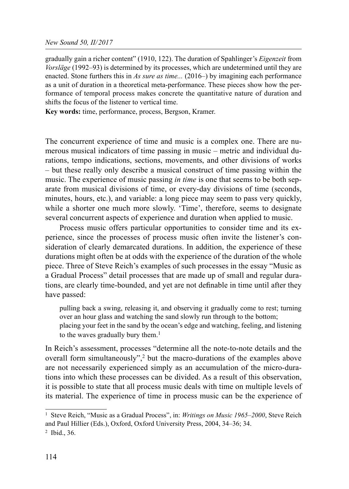gradually gain a richer content" (1910, 122). The duration of Spahlinger's *Eigenzeit* from Vorsläge (1992–93) is determined by its processes, which are undetermined until they are enacted. Stone furthers this in As sure as time... (2016–) by imagining each performance as a unit of duration in a theoretical meta-performance. These pieces show how the performance of temporal process makes concrete the quantitative nature of duration and shifts the focus of the listener to vertical time.

Key words: time, performance, process, Bergson, Kramer.

The concurrent experience of time and music is a complex one. There are numerous musical indicators of time passing in music – metric and individual durations, tempo indications, sections, movements, and other divisions of works – but these really only describe a musical construct of time passing within the music. The experience of music passing *in time* is one that seems to be both separate from musical divisions of time, or every-day divisions of time (seconds, minutes, hours, etc.), and variable: a long piece may seem to pass very quickly, while a shorter one much more slowly. 'Time', therefore, seems to designate several concurrent aspects of experience and duration when applied to music.

Process music offers particular opportunities to consider time and its experience, since the processes of process music often invite the listener's consideration of clearly demarcated durations. In addition, the experience of these durations might often be at odds with the experience of the duration of the whole piece. Three of Steve Reich's examples of such processes in the essay "Music as a Gradual Process" detail processes that are made up of small and regular durations, are clearly time-bounded, and yet are not definable in time until after they have passed:

pulling back a swing, releasing it, and observing it gradually come to rest; turning over an hour glass and watching the sand slowly run through to the bottom; placing your feet in the sand by the ocean's edge and watching, feeling, and listening to the waves gradually bury them.<sup>1</sup>

In Reich's assessment, processes "determine all the note-to-note details and the overall form simultaneously",<sup>2</sup> but the macro-durations of the examples above are not necessarily experienced simply as an accumulation of the micro-durations into which these processes can be divided. As a result of this observation, it is possible to state that all process music deals with time on multiple levels of its material. The experience of time in process music can be the experience of

<sup>&</sup>lt;sup>1</sup> Steve Reich, "Music as a Gradual Process", in: *Writings on Music 1965–2000*, Steve Reich and Paul Hillier (Eds.), Oxford, Oxford University Press, 2004, 34–36; 34. 2 Ibid., 36.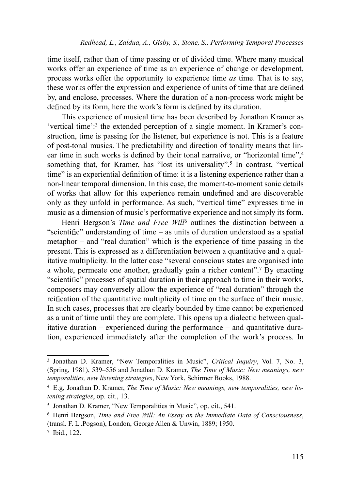time itself, rather than of time passing or of divided time. Where many musical works offer an experience of time as an experience of change or development, process works offer the opportunity to experience time as time. That is to say, these works offer the expression and experience of units of time that are defined by, and enclose, processes. Where the duration of a non-process work might be defined by its form, here the work's form is defined by its duration.

This experience of musical time has been described by Jonathan Kramer as 'vertical time':3 the extended perception of a single moment. In Kramer's construction, time is passing for the listener, but experience is not. This is a feature of post-tonal musics. The predictability and direction of tonality means that linear time in such works is defined by their tonal narrative, or "horizontal time", 4 something that, for Kramer, has "lost its universality".<sup>5</sup> In contrast, "vertical time" is an experiential definition of time: it is a listening experience rather than a non-linear temporal dimension. In this case, the moment-to-moment sonic details of works that allow for this experience remain undefined and are discoverable only as they unfold in performance. As such, "vertical time" expresses time in music as a dimension of music's performative experience and not simply its form.

Henri Bergson's *Time and Free Will*<sup>6</sup> outlines the distinction between a "scientific" understanding of time  $-$  as units of duration understood as a spatial metaphor – and "real duration" which is the experience of time passing in the present. This is expressed as a differentiation between a quantitative and a qualitative multiplicity. In the latter case "several conscious states are organised into a whole, permeate one another, gradually gain a richer content".7 By enacting "scientific" processes of spatial duration in their approach to time in their works, composers may conversely allow the experience of "real duration" through the reification of the quantitative multiplicity of time on the surface of their music. In such cases, processes that are clearly bounded by time cannot be experienced as a unit of time until they are complete. This opens up a dialectic between qualitative duration – experienced during the performance – and quantitative duration, experienced immediately after the completion of the work's process. In

<sup>&</sup>lt;sup>3</sup> Jonathan D. Kramer, "New Temporalities in Music", Critical Inquiry, Vol. 7, No. 3, (Spring, 1981), 539–556 and Jonathan D. Kramer, The Time of Music: New meanings, new temporalities, new listening strategies, New York, Schirmer Books, 1988.

<sup>4</sup> E.g, Jonathan D. Kramer, The Time of Music: New meanings, new temporalities, new listening strategies, op. cit., 13.

<sup>5</sup> Jonathan D. Kramer, "New Temporalities in Music", op. cit., 541.

<sup>6</sup> Henri Bergson, Time and Free Will: An Essay on the Immediate Data of Consciousness, (transl. F. L .Pogson), London, George Allen & Unwin, 1889; 1950.

<sup>7</sup> Ibid., 122.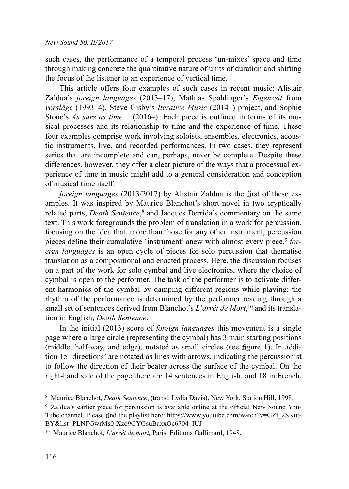such cases, the performance of a temporal process 'un-mixes' space and time through making concrete the quantitative nature of units of duration and shifting the focus of the listener to an experience of vertical time.

This article offers four examples of such cases in recent music: Alistair Zaldua's foreign languages (2013–17), Mathias Spahlinger's Eigenzeit from vorsläge (1993–4), Steve Gisby's Iterative Music (2014–) project, and Sophie Stone's As sure as time... (2016–). Each piece is outlined in terms of its musical processes and its relationship to time and the experience of time. These four examples comprise work involving soloists, ensembles, electronics, acoustic instruments, live, and recorded performances. In two cases, they represent series that are incomplete and can, perhaps, never be complete. Despite these differences, however, they offer a clear picture of the ways that a processual experience of time in music might add to a general consideration and conception of musical time itself.

*foreign languages* (2013/2017) by Alistair Zaldua is the first of these examples. It was inspired by Maurice Blanchot's short novel in two cryptically related parts, Death Sentence, 8 and Jacques Derrida's commentary on the same text. This work foregrounds the problem of translation in a work for percussion, focusing on the idea that, more than those for any other instrument, percussion pieces define their cumulative 'instrument' anew with almost every piece.<sup>9</sup> foreign languages is an open cycle of pieces for solo percussion that thematise translation as a compositional and enacted process. Here, the discussion focuses on a part of the work for solo cymbal and live electronics, where the choice of cymbal is open to the performer. The task of the performer is to activate different harmonics of the cymbal by damping different regions while playing; the rhythm of the performance is determined by the performer reading through a small set of sentences derived from Blanchot's *L'arrêt de Mort*,<sup>10</sup> and its translation in English, Death Sentence.

In the initial (2013) score of *foreign languages* this movement is a single page where a large circle (representing the cymbal) has 3 main starting positions (middle, half-way, and edge), notated as small circles (see figure 1). In addition 15 'directions' are notated as lines with arrows, indicating the percussionist to follow the direction of their beater across the surface of the cymbal. On the right-hand side of the page there are 14 sentences in English, and 18 in French,

<sup>&</sup>lt;sup>8</sup> Maurice Blanchot, *Death Sentence*, (transl. Lydia Davis), New York, Station Hill, 1998.

<sup>&</sup>lt;sup>9</sup> Zaldua's earlier piece for percussion is available online at the official New Sound You-Tube channel. Please find the playlist here: https://www.youtube.com/watch?v=GZt\_2SKut-BY&list=PLNFGwrMs0-Xzo9GYGsuBaxxOc6704\_IUJ

<sup>&</sup>lt;sup>10</sup> Maurice Blanchot, *L'arrêt de mort*, Paris, Editions Gallimard, 1948.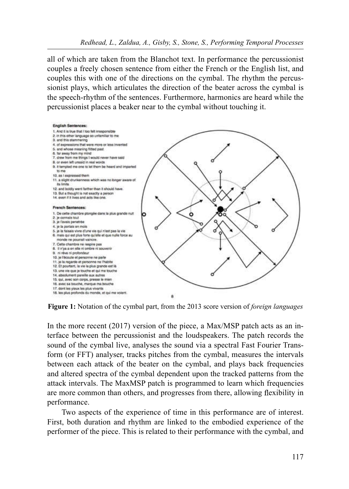all of which are taken from the Blanchot text. In performance the percussionist couples a freely chosen sentence from either the French or the English list, and couples this with one of the directions on the cymbal. The rhythm the percussionist plays, which articulates the direction of the beater across the cymbal is the speech-rhythm of the sentences. Furthermore, harmonics are heard while the percussionist places a beaker near to the cymbal without touching it.



Figure 1: Notation of the cymbal part, from the 2013 score version of *foreign languages* 

In the more recent (2017) version of the piece, a Max/MSP patch acts as an interface between the percussionist and the loudspeakers. The patch records the sound of the cymbal live, analyses the sound via a spectral Fast Fourier Transform (or FFT) analyser, tracks pitches from the cymbal, measures the intervals between each attack of the beater on the cymbal, and plays back frequencies and altered spectra of the cymbal dependent upon the tracked patterns from the attack intervals. The MaxMSP patch is programmed to learn which frequencies are more common than others, and progresses from there, allowing flexibility in performance.

Two aspects of the experience of time in this performance are of interest. First, both duration and rhythm are linked to the embodied experience of the performer of the piece. This is related to their performance with the cymbal, and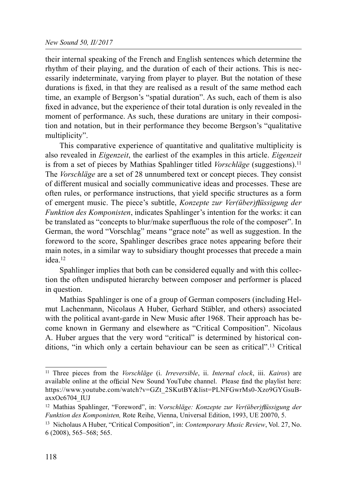their internal speaking of the French and English sentences which determine the rhythm of their playing, and the duration of each of their actions. This is necessarily indeterminate, varying from player to player. But the notation of these durations is fixed, in that they are realised as a result of the same method each time, an example of Bergson's "spatial duration". As such, each of them is also fixed in advance, but the experience of their total duration is only revealed in the moment of performance. As such, these durations are unitary in their composition and notation, but in their performance they become Bergson's "qualitative multiplicity".

This comparative experience of quantitative and qualitative multiplicity is also revealed in *Eigenzeit*, the earliest of the examples in this article. *Eigenzeit* is from a set of pieces by Mathias Spahlinger titled *Vorschläge* (suggestions).<sup>11</sup> The *Vorschläge* are a set of 28 unnumbered text or concept pieces. They consist of different musical and socially communicative ideas and processes. These are often rules, or performance instructions, that yield specific structures as a form of emergent music. The piece's subtitle, Konzepte zur Ver(über) flüssigung der Funktion des Komponisten, indicates Spahlinger's intention for the works: it can be translated as "concepts to blur/make superfluous the role of the composer". In German, the word "Vorschlag" means "grace note" as well as suggestion. In the foreword to the score, Spahlinger describes grace notes appearing before their main notes, in a similar way to subsidiary thought processes that precede a main idea.12

Spahlinger implies that both can be considered equally and with this collection the often undisputed hierarchy between composer and performer is placed in question.

Mathias Spahlinger is one of a group of German composers (including Helmut Lachenmann, Nicolaus A Huber, Gerhard Stäbler, and others) associated with the political avant-garde in New Music after 1968. Their approach has become known in Germany and elsewhere as "Critical Composition". Nicolaus A. Huber argues that the very word "critical" is determined by historical conditions, "in which only a certain behaviour can be seen as critical".13 Critical

<sup>&</sup>lt;sup>11</sup> Three pieces from the *Vorschläge* (i. *Irreversible*, ii. *Internal clock*, iii. *Kairos*) are available online at the official New Sound YouTube channel. Please find the playlist here: https://www.youtube.com/watch?v=GZt\_2SKutBY&list=PLNFGwrMs0-Xzo9GYGsuBaxxOc6704\_IUJ

 $12$  Mathias Spahlinger, "Foreword", in: Vorschläge: Konzepte zur Ver(über) flüssigung der Funktion des Komponisten, Rote Reihe, Vienna, Universal Edition, 1993, UE 20070, 5.

<sup>&</sup>lt;sup>13</sup> Nicholaus A Huber, "Critical Composition", in: Contemporary Music Review, Vol. 27, No. 6 (2008), 565–568; 565.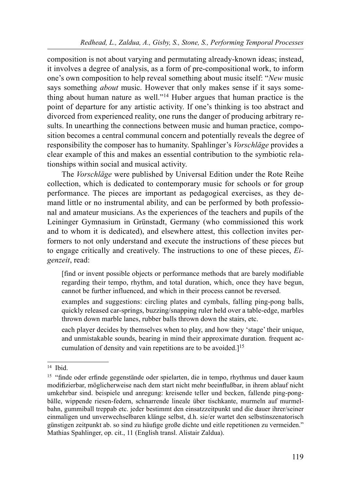composition is not about varying and permutating already-known ideas; instead, it involves a degree of analysis, as a form of pre-compositional work, to inform one's own composition to help reveal something about music itself: "New music says something *about* music. However that only makes sense if it says something about human nature as well."14 Huber argues that human practice is the point of departure for any artistic activity. If one's thinking is too abstract and divorced from experienced reality, one runs the danger of producing arbitrary results. In unearthing the connections between music and human practice, composition becomes a central communal concern and potentially reveals the degree of responsibility the composer has to humanity. Spahlinger's *Vorschläge* provides a clear example of this and makes an essential contribution to the symbiotic relationships within social and musical activity.

The Vorschläge were published by Universal Edition under the Rote Reihe collection, which is dedicated to contemporary music for schools or for group performance. The pieces are important as pedagogical exercises, as they demand little or no instrumental ability, and can be performed by both professional and amateur musicians. As the experiences of the teachers and pupils of the Leininger Gymnasium in Grünstadt, Germany (who commissioned this work and to whom it is dedicated), and elsewhere attest, this collection invites performers to not only understand and execute the instructions of these pieces but to engage critically and creatively. The instructions to one of these pieces, Eigenzeit, read:

[find or invent possible objects or performance methods that are barely modifiable regarding their tempo, rhythm, and total duration, which, once they have begun, cannot be further influenced, and which in their process cannot be reversed.

examples and suggestions: circling plates and cymbals, falling ping-pong balls, quickly released car-springs, buzzing/snapping ruler held over a table-edge, marbles thrown down marble lanes, rubber balls thrown down the stairs, etc.

each player decides by themselves when to play, and how they 'stage' their unique, and unmistakable sounds, bearing in mind their approximate duration. frequent accumulation of density and vain repetitions are to be avoided. $]^{15}$ 

<sup>14</sup> Ibid.

<sup>&</sup>lt;sup>15</sup> "finde oder erfinde gegenstände oder spielarten, die in tempo, rhythmus und dauer kaum modifizierbar, möglicherweise nach dem start nicht mehr beeinflußbar, in ihrem ablauf nicht umkehrbar sind. beispiele und anregung: kreisende teller und becken, fallende ping-pongbälle, wippende riesen-federn, schnarrende lineale über tischkante, murmeln auf murmelbahn, gummiball treppab etc. jeder bestimmt den einsatzzeitpunkt und die dauer ihrer/seiner einmaligen und unverwechselbaren klänge selbst, d.h. sie/er wartet den selbstinszenatorisch günstigen zeitpunkt ab. so sind zu häufige große dichte und eitle repetitionen zu vermeiden." Mathias Spahlinger, op. cit., 11 (English transl. Alistair Zaldua).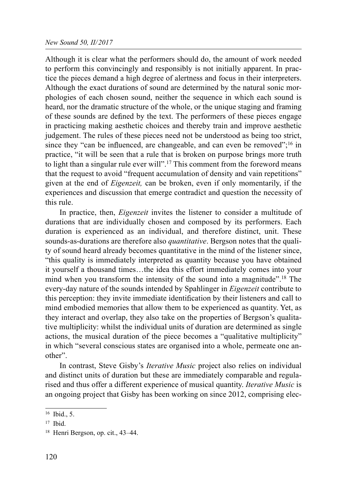#### New Sound 50, II/2017

Although it is clear what the performers should do, the amount of work needed to perform this convincingly and responsibly is not initially apparent. In practice the pieces demand a high degree of alertness and focus in their interpreters. Although the exact durations of sound are determined by the natural sonic morphologies of each chosen sound, neither the sequence in which each sound is heard, nor the dramatic structure of the whole, or the unique staging and framing of these sounds are defined by the text. The performers of these pieces engage in practicing making aesthetic choices and thereby train and improve aesthetic judgement. The rules of these pieces need not be understood as being too strict, since they "can be influenced, are changeable, and can even be removed";<sup>16</sup> in practice, "it will be seen that a rule that is broken on purpose brings more truth to light than a singular rule ever will".<sup>17</sup> This comment from the foreword means that the request to avoid "frequent accumulation of density and vain repetitions" given at the end of *Eigenzeit*, can be broken, even if only momentarily, if the experiences and discussion that emerge contradict and question the necessity of this rule.

In practice, then, *Eigenzeit* invites the listener to consider a multitude of durations that are individually chosen and composed by its performers. Each duration is experienced as an individual, and therefore distinct, unit. These sounds-as-durations are therefore also *quantitative*. Bergson notes that the quality of sound heard already becomes quantitative in the mind of the listener since, "this quality is immediately interpreted as quantity because you have obtained it yourself a thousand times…the idea this effort immediately comes into your mind when you transform the intensity of the sound into a magnitude".18 The every-day nature of the sounds intended by Spahlinger in *Eigenzeit* contribute to this perception: they invite immediate identification by their listeners and call to mind embodied memories that allow them to be experienced as quantity. Yet, as they interact and overlap, they also take on the properties of Bergson's qualitative multiplicity: whilst the individual units of duration are determined as single actions, the musical duration of the piece becomes a "qualitative multiplicity" in which "several conscious states are organised into a whole, permeate one another".

In contrast, Steve Gisby's Iterative Music project also relies on individual and distinct units of duration but these are immediately comparable and regularised and thus offer a different experience of musical quantity. Iterative Music is an ongoing project that Gisby has been working on since 2012, comprising elec-

 $16$  Ibid., 5.

 $17$  Ibid.

<sup>18</sup> Henri Bergson, op. cit., 43–44.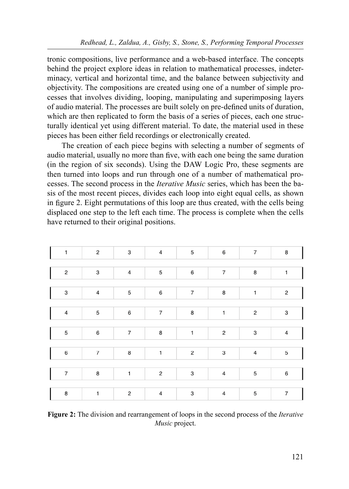tronic compositions, live performance and a web-based interface. The concepts behind the project explore ideas in relation to mathematical processes, indeterminacy, vertical and horizontal time, and the balance between subjectivity and objectivity. The compositions are created using one of a number of simple processes that involves dividing, looping, manipulating and superimposing layers of audio material. The processes are built solely on pre-defined units of duration, which are then replicated to form the basis of a series of pieces, each one structurally identical yet using different material. To date, the material used in these pieces has been either field recordings or electronically created.

The creation of each piece begins with selecting a number of segments of audio material, usually no more than five, with each one being the same duration (in the region of six seconds). Using the DAW Logic Pro, these segments are then turned into loops and run through one of a number of mathematical processes. The second process in the Iterative Music series, which has been the basis of the most recent pieces, divides each loop into eight equal cells, as shown in figure 2. Eight permutations of this loop are thus created, with the cells being displaced one step to the left each time. The process is complete when the cells have returned to their original positions.

| 1                | $\mathbf 2$ | 3              | $\overline{4}$   | 5                        | 6                        | $\overline{7}$            | 8              |
|------------------|-------------|----------------|------------------|--------------------------|--------------------------|---------------------------|----------------|
| $\boldsymbol{2}$ | 3           | $\sqrt{4}$     | 5                | 6                        | $\overline{\phantom{a}}$ | 8                         | 1              |
|                  |             |                |                  |                          |                          |                           |                |
| 3                | $\sqrt{4}$  | 5              | 6                | $\overline{\mathcal{I}}$ | 8                        | 1                         | $\mathbf 2$    |
|                  |             |                |                  |                          |                          |                           |                |
| 4                | $\mathbf 5$ | 6              | $\overline{7}$   | 8                        | $\mathbf{1}$             | $\overline{c}$            | 3              |
|                  |             |                |                  |                          |                          |                           |                |
| 5                | 6           | $\overline{7}$ | 8                | 1                        | $\overline{c}$           | 3                         | 4              |
|                  |             |                |                  |                          |                          |                           |                |
| 6                | 7           | 8              | $\mathbf{1}$     | 2                        | 3                        | $\ensuremath{\mathsf{4}}$ | 5              |
|                  |             |                |                  |                          |                          |                           |                |
| $\overline{7}$   | 8           | $\mathbf{1}$   | $\boldsymbol{2}$ | 3                        | 4                        | 5                         | 6              |
|                  |             |                |                  |                          |                          |                           |                |
| 8                | 1           | $\overline{c}$ | $\overline{4}$   | 3                        | $\sqrt{4}$               | 5                         | $\overline{7}$ |

Figure 2: The division and rearrangement of loops in the second process of the *Iterative* Music project.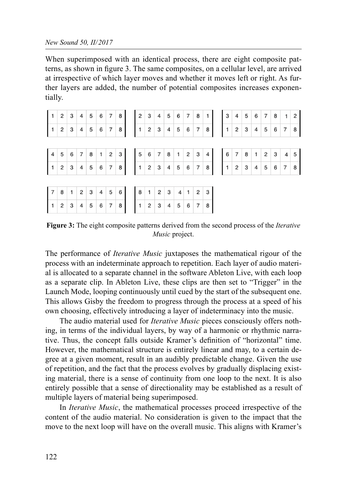#### New Sound 50, II/2017

When superimposed with an identical process, there are eight composite patterns, as shown in figure 3. The same composites, on a cellular level, are arrived at irrespective of which layer moves and whether it moves left or right. As further layers are added, the number of potential composites increases exponentially.

| 4 5 6 7 8 1 2 3 4 5 6 7 8 1 2 3 4 6 7 8 1 2 3 4 5 6 7 8 1 2 3 4 5 6 7 8 1 2 3 4 5 6 7 8 1 2 3 4 5 6 7 8 |  |  |  |  |  |  |  |  |  |  |  |  |  |
|---------------------------------------------------------------------------------------------------------|--|--|--|--|--|--|--|--|--|--|--|--|--|
|                                                                                                         |  |  |  |  |  |  |  |  |  |  |  |  |  |
|                                                                                                         |  |  |  |  |  |  |  |  |  |  |  |  |  |
| 7 8 1 2 3 4 5 6 8 1 2 3 4 1 2 3<br>1 2 3 4 5 6 7 8<br>1 2 3 4 5 6 7 8                                   |  |  |  |  |  |  |  |  |  |  |  |  |  |

Figure 3: The eight composite patterns derived from the second process of the *Iterative* Music project.

The performance of *Iterative Music* juxtaposes the mathematical rigour of the process with an indeterminate approach to repetition. Each layer of audio material is allocated to a separate channel in the software Ableton Live, with each loop as a separate clip. In Ableton Live, these clips are then set to "Trigger" in the Launch Mode, looping continuously until cued by the start of the subsequent one. This allows Gisby the freedom to progress through the process at a speed of his own choosing, effectively introducing a layer of indeterminacy into the music.

The audio material used for *Iterative Music* pieces consciously offers nothing, in terms of the individual layers, by way of a harmonic or rhythmic narrative. Thus, the concept falls outside Kramer's definition of "horizontal" time. However, the mathematical structure is entirely linear and may, to a certain degree at a given moment, result in an audibly predictable change. Given the use of repetition, and the fact that the process evolves by gradually displacing existing material, there is a sense of continuity from one loop to the next. It is also entirely possible that a sense of directionality may be established as a result of multiple layers of material being superimposed.

In *Iterative Music*, the mathematical processes proceed irrespective of the content of the audio material. No consideration is given to the impact that the move to the next loop will have on the overall music. This aligns with Kramer's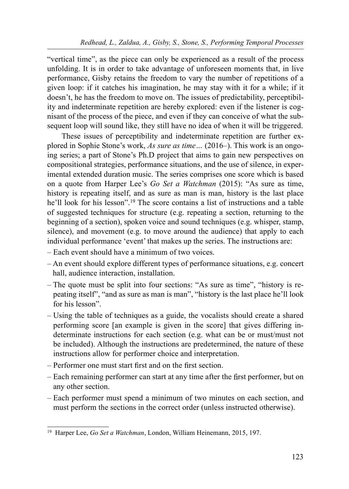"vertical time", as the piece can only be experienced as a result of the process unfolding. It is in order to take advantage of unforeseen moments that, in live performance, Gisby retains the freedom to vary the number of repetitions of a given loop: if it catches his imagination, he may stay with it for a while; if it doesn't, he has the freedom to move on. The issues of predictability, perceptibility and indeterminate repetition are hereby explored: even if the listener is cognisant of the process of the piece, and even if they can conceive of what the subsequent loop will sound like, they still have no idea of when it will be triggered.

These issues of perceptibility and indeterminate repetition are further explored in Sophie Stone's work, As sure as time… (2016–). This work is an ongoing series; a part of Stone's Ph.D project that aims to gain new perspectives on compositional strategies, performance situations, and the use of silence, in experimental extended duration music. The series comprises one score which is based on a quote from Harper Lee's Go Set a Watchman (2015): "As sure as time, history is repeating itself, and as sure as man is man, history is the last place he'll look for his lesson".<sup>19</sup> The score contains a list of instructions and a table of suggested techniques for structure (e.g. repeating a section, returning to the beginning of a section), spoken voice and sound techniques (e.g. whisper, stamp, silence), and movement (e.g. to move around the audience) that apply to each individual performance 'event' that makes up the series. The instructions are:

- Each event should have a minimum of two voices.
- An event should explore different types of performance situations, e.g. concert hall, audience interaction, installation.
- The quote must be split into four sections: "As sure as time", "history is repeating itself", "and as sure as man is man", "history is the last place he'll look for his lesson".
- Using the table of techniques as a guide, the vocalists should create a shared performing score [an example is given in the score] that gives differing indeterminate instructions for each section (e.g. what can be or must/must not be included). Although the instructions are predetermined, the nature of these instructions allow for performer choice and interpretation.
- $-$  Performer one must start first and on the first section.
- $-$  Each remaining performer can start at any time after the first performer, but on any other section.
- Each performer must spend a minimum of two minutes on each section, and must perform the sections in the correct order (unless instructed otherwise).

<sup>&</sup>lt;sup>19</sup> Harper Lee, Go Set a Watchman, London, William Heinemann, 2015, 197.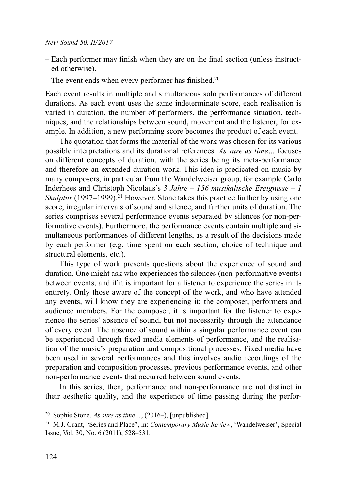- $-$  Each performer may finish when they are on the final section (unless instructed otherwise).
- The event ends when every performer has finished.<sup>20</sup>

Each event results in multiple and simultaneous solo performances of different durations. As each event uses the same indeterminate score, each realisation is varied in duration, the number of performers, the performance situation, techniques, and the relationships between sound, movement and the listener, for example. In addition, a new performing score becomes the product of each event.

The quotation that forms the material of the work was chosen for its various possible interpretations and its durational references. As sure as time… focuses on different concepts of duration, with the series being its meta-performance and therefore an extended duration work. This idea is predicated on music by many composers, in particular from the Wandelweiser group, for example Carlo Inderhees and Christoph Nicolaus's  $3$  Jahre – 156 musikalische Ereignisse – 1 Skulptur  $(1997-1999)$ <sup>21</sup> However, Stone takes this practice further by using one score, irregular intervals of sound and silence, and further units of duration. The series comprises several performance events separated by silences (or non-performative events). Furthermore, the performance events contain multiple and simultaneous performances of different lengths, as a result of the decisions made by each performer (e.g. time spent on each section, choice of technique and structural elements, etc.).

This type of work presents questions about the experience of sound and duration. One might ask who experiences the silences (non-performative events) between events, and if it is important for a listener to experience the series in its entirety. Only those aware of the concept of the work, and who have attended any events, will know they are experiencing it: the composer, performers and audience members. For the composer, it is important for the listener to experience the series' absence of sound, but not necessarily through the attendance of every event. The absence of sound within a singular performance event can be experienced through fixed media elements of performance, and the realisation of the music's preparation and compositional processes. Fixed media have been used in several performances and this involves audio recordings of the preparation and composition processes, previous performance events, and other non-performance events that occurred between sound events.

In this series, then, performance and non-performance are not distinct in their aesthetic quality, and the experience of time passing during the perfor-

<sup>20</sup> Sophie Stone, As sure as time…, (2016–), [unpublished].

<sup>&</sup>lt;sup>21</sup> M.J. Grant, "Series and Place", in: Contemporary Music Review, 'Wandelweiser', Special Issue, Vol. 30, No. 6 (2011), 528–531.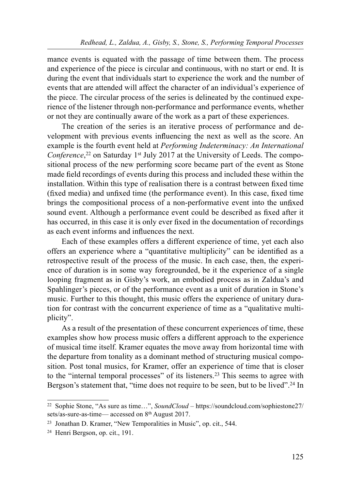mance events is equated with the passage of time between them. The process and experience of the piece is circular and continuous, with no start or end. It is during the event that individuals start to experience the work and the number of events that are attended will affect the character of an individual's experience of the piece. The circular process of the series is delineated by the continued experience of the listener through non-performance and performance events, whether or not they are continually aware of the work as a part of these experiences.

The creation of the series is an iterative process of performance and development with previous events influencing the next as well as the score. An example is the fourth event held at Performing Indeterminacy: An International Conference,<sup>22</sup> on Saturday 1<sup>st</sup> July 2017 at the University of Leeds. The compositional process of the new performing score became part of the event as Stone made field recordings of events during this process and included these within the installation. Within this type of realisation there is a contrast between fixed time (fixed media) and unfixed time (the performance event). In this case, fixed time brings the compositional process of a non-performative event into the unfixed sound event. Although a performance event could be described as fixed after it has occurred, in this case it is only ever fixed in the documentation of recordings as each event informs and influences the next.

Each of these examples offers a different experience of time, yet each also offers an experience where a "quantitative multiplicity" can be identified as a retrospective result of the process of the music. In each case, then, the experience of duration is in some way foregrounded, be it the experience of a single looping fragment as in Gisby's work, an embodied process as in Zaldua's and Spahlinger's pieces, or of the performance event as a unit of duration in Stone's music. Further to this thought, this music offers the experience of unitary duration for contrast with the concurrent experience of time as a "qualitative multiplicity".

As a result of the presentation of these concurrent experiences of time, these examples show how process music offers a different approach to the experience of musical time itself. Kramer equates the move away from horizontal time with the departure from tonality as a dominant method of structuring musical composition. Post tonal musics, for Kramer, offer an experience of time that is closer to the "internal temporal processes" of its listeners.23 This seems to agree with Bergson's statement that, "time does not require to be seen, but to be lived".<sup>24</sup> In

<sup>22</sup> Sophie Stone, "As sure as time…", SoundCloud – https://soundcloud.com/sophiestone27/ sets/as-sure-as-time— accessed on 8th August 2017.

<sup>23</sup> Jonathan D. Kramer, "New Temporalities in Music", op. cit., 544.

<sup>24</sup> Henri Bergson, op. cit., 191.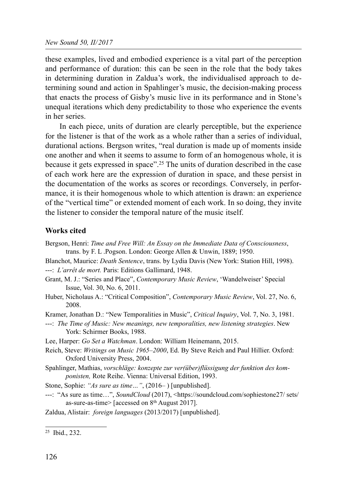these examples, lived and embodied experience is a vital part of the perception and performance of duration: this can be seen in the role that the body takes in determining duration in Zaldua's work, the individualised approach to determining sound and action in Spahlinger's music, the decision-making process that enacts the process of Gisby's music live in its performance and in Stone's unequal iterations which deny predictability to those who experience the events in her series.

In each piece, units of duration are clearly perceptible, but the experience for the listener is that of the work as a whole rather than a series of individual, durational actions. Bergson writes, "real duration is made up of moments inside one another and when it seems to assume to form of an homogenous whole, it is because it gets expressed in space".25 The units of duration described in the case of each work here are the expression of duration in space, and these persist in the documentation of the works as scores or recordings. Conversely, in performance, it is their homogenous whole to which attention is drawn: an experience of the "vertical time" or extended moment of each work. In so doing, they invite the listener to consider the temporal nature of the music itself.

## Works cited

- Bergson, Henri: Time and Free Will: An Essay on the Immediate Data of Consciousness, trans. by F. L .Pogson. London: George Allen & Unwin, 1889; 1950.
- Blanchot, Maurice: *Death Sentence*, trans. by Lydia Davis (New York: Station Hill, 1998).

```
---: L'arrêt de mort. Paris: Editions Gallimard, 1948.
```
- Grant, M. J.: "Series and Place", Contemporary Music Review, 'Wandelweiser' Special Issue, Vol. 30, No. 6, 2011.
- Huber, Nicholaus A.: "Critical Composition", Contemporary Music Review, Vol. 27, No. 6, 2008.
- Kramer, Jonathan D.: "New Temporalities in Music", Critical Inquiry, Vol. 7, No. 3, 1981.
- ---: The Time of Music: New meanings, new temporalities, new listening strategies. New York: Schirmer Books, 1988.
- Lee, Harper: Go Set a Watchman. London: William Heinemann, 2015.
- Reich, Steve: Writings on Music 1965–2000, Ed. By Steve Reich and Paul Hillier. Oxford: Oxford University Press, 2004.
- Spahlinger, Mathias, vorschläge: konzepte zur ver(über)flüssigung der funktion des komponisten, Rote Reihe. Vienna: Universal Edition, 1993.
- Stone, Sophie: "As sure as time...", (2016–) [unpublished].
- ---: "As sure as time...", SoundCloud (2017), <https://soundcloud.com/sophiestone27/ sets/ as-sure-as-time> [accessed on 8th August 2017].
- Zaldua, Alistair: foreign languages (2013/2017) [unpublished].

<sup>25</sup> Ibid., 232.